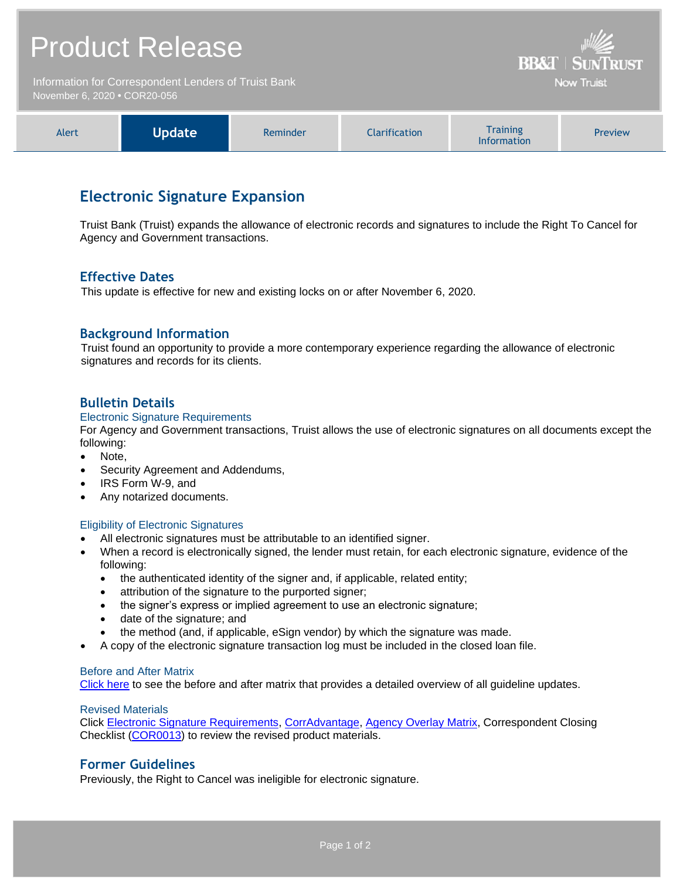# Product Release

Information for Correspondent Lenders of Truist Bank November 6, 2020 **•** COR20-056



**BB&T | SUNTRUST** Now Truist

# **Electronic Signature Expansion**

Truist Bank (Truist) expands the allowance of electronic records and signatures to include the Right To Cancel for Agency and Government transactions.

# **Effective Dates**

This update is effective for new and existing locks on or after November 6, 2020.

# **Background Information**

Truist found an opportunity to provide a more contemporary experience regarding the allowance of electronic signatures and records for its clients.

# **Bulletin Details**

#### Electronic Signature Requirements

For Agency and Government transactions, Truist allows the use of electronic signatures on all documents except the following:

- Note,
- Security Agreement and Addendums,
- IRS Form W-9, and
- Any notarized documents.

#### Eligibility of Electronic Signatures

- All electronic signatures must be attributable to an identified signer.
- When a record is electronically signed, the lender must retain, for each electronic signature, evidence of the following:
	- the authenticated identity of the signer and, if applicable, related entity;
	- attribution of the signature to the purported signer;
	- the signer's express or implied agreement to use an electronic signature;
	- date of the signature; and
	- the method (and, if applicable, eSign vendor) by which the signature was made.
- A copy of the electronic signature transaction log must be included in the closed loan file.

#### Before and After Matrix

[Click here](http://www.truistsellerguide.com/manual/cor/products/Cr20-056BA.pdf) to see the before and after matrix that provides a detailed overview of all guideline updates.

#### Revised Materials

Click [Electronic Signature Requirements,](https://www.truistsellerguide.com/Manual/cor/general/1.32ESignature%20Requirements.pdf) [CorrAdvantage,](https://www.truistsellerguide.com/Manual/cor/products/CorrAdvantage.pdf) [Agency Overlay Matrix,](https://www.truistsellerguide.com/manual/cor/products/CAgencyCreditOverlays.pdf) Correspondent Closing Checklist [\(COR0013\)](http://www.truistsellerguide.com/manual/cor/forms/COR0013.pdf) to review the revised product materials.

### **Former Guidelines**

Previously, the Right to Cancel was ineligible for electronic signature.